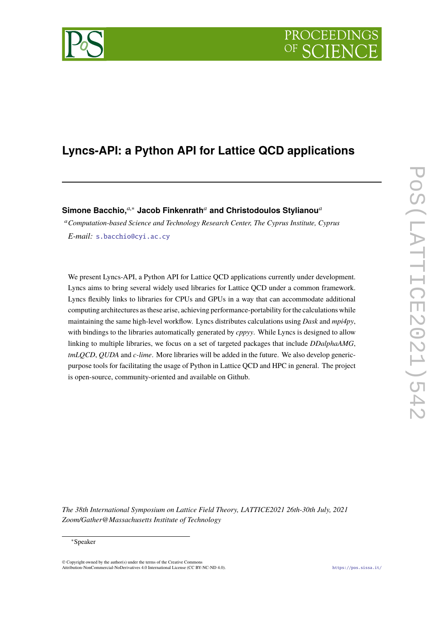# PROCEEDIN

## **Lyncs-API: a Python API for Lattice QCD applications**

**Simone Bacchio,***a*,<sup>∗</sup> **Jacob Finkenrath***<sup>a</sup>* **and Christodoulos Stylianou***<sup>a</sup>*

<sup>a</sup>*Computation-based Science and Technology Research Center, The Cyprus Institute, Cyprus E-mail:* [s.bacchio@cyi.ac.cy](mailto:s.bacchio@cyi.ac.cy)

We present Lyncs-API, a Python API for Lattice QCD applications currently under development. Lyncs aims to bring several widely used libraries for Lattice QCD under a common framework. Lyncs flexibly links to libraries for CPUs and GPUs in a way that can accommodate additional computing architectures as these arise, achieving performance-portability for the calculations while maintaining the same high-level workflow. Lyncs distributes calculations using *Dask* and *mpi4py*, with bindings to the libraries automatically generated by *cppyy*. While Lyncs is designed to allow linking to multiple libraries, we focus on a set of targeted packages that include *DDalphaAMG*, *tmLQCD*, *QUDA* and *c-lime*. More libraries will be added in the future. We also develop genericpurpose tools for facilitating the usage of Python in Lattice QCD and HPC in general. The project is open-source, community-oriented and available on Github.

*The 38th International Symposium on Lattice Field Theory, LATTICE2021 26th-30th July, 2021 Zoom/Gather@Massachusetts Institute of Technology*

 $\odot$  Copyright owned by the author(s) under the terms of the Creative Common Attribution-NonCommercial-NoDerivatives 4.0 International License (CC BY-NC-ND 4.0). <https://pos.sissa.it/>

<sup>∗</sup>Speaker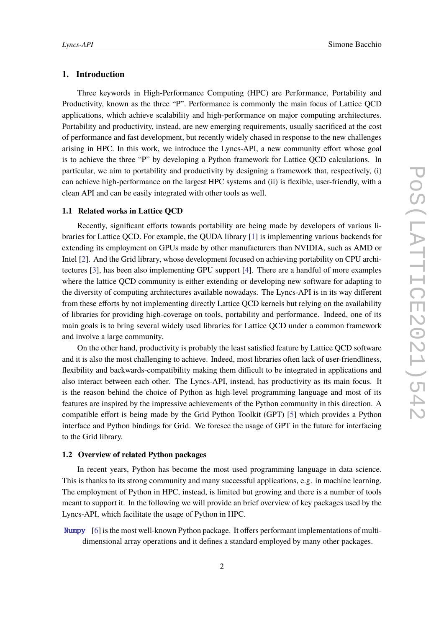#### **1. Introduction**

Three keywords in High-Performance Computing (HPC) are Performance, Portability and Productivity, known as the three "P". Performance is commonly the main focus of Lattice QCD applications, which achieve scalability and high-performance on major computing architectures. Portability and productivity, instead, are new emerging requirements, usually sacrificed at the cost of performance and fast development, but recently widely chased in response to the new challenges arising in HPC. In this work, we introduce the Lyncs-API, a new community effort whose goal is to achieve the three "P" by developing a Python framework for Lattice QCD calculations. In particular, we aim to portability and productivity by designing a framework that, respectively, (i) can achieve high-performance on the largest HPC systems and (ii) is flexible, user-friendly, with a clean API and can be easily integrated with other tools as well.

#### **1.1 Related works in Lattice QCD**

Recently, significant efforts towards portability are being made by developers of various libraries for Lattice QCD. For example, the QUDA library [\[1\]](#page-9-0) is implementing various backends for extending its employment on GPUs made by other manufacturers than NVIDIA, such as AMD or Intel [\[2\]](#page-9-1). And the Grid library, whose development focused on achieving portability on CPU architectures [\[3\]](#page-9-2), has been also implementing GPU support [\[4\]](#page-9-3). There are a handful of more examples where the lattice QCD community is either extending or developing new software for adapting to the diversity of computing architectures available nowadays. The Lyncs-API is in its way different from these efforts by not implementing directly Lattice QCD kernels but relying on the availability of libraries for providing high-coverage on tools, portability and performance. Indeed, one of its main goals is to bring several widely used libraries for Lattice QCD under a common framework and involve a large community.

On the other hand, productivity is probably the least satisfied feature by Lattice QCD software and it is also the most challenging to achieve. Indeed, most libraries often lack of user-friendliness, flexibility and backwards-compatibility making them difficult to be integrated in applications and also interact between each other. The Lyncs-API, instead, has productivity as its main focus. It is the reason behind the choice of Python as high-level programming language and most of its features are inspired by the impressive achievements of the Python community in this direction. A compatible effort is being made by the Grid Python Toolkit (GPT) [\[5\]](#page-9-4) which provides a Python interface and Python bindings for Grid. We foresee the usage of GPT in the future for interfacing to the Grid library.

#### **1.2 Overview of related Python packages**

In recent years, Python has become the most used programming language in data science. This is thanks to its strong community and many successful applications, e.g. in machine learning. The employment of Python in HPC, instead, is limited but growing and there is a number of tools meant to support it. In the following we will provide an brief overview of key packages used by the Lyncs-API, which facilitate the usage of Python in HPC.

<span id="page-1-0"></span>[Numpy](https://pypi.org/project/Numpy) [\[6\]](#page-9-5) is the most well-known Python package. It offers performant implementations of multidimensional array operations and it defines a standard employed by many other packages.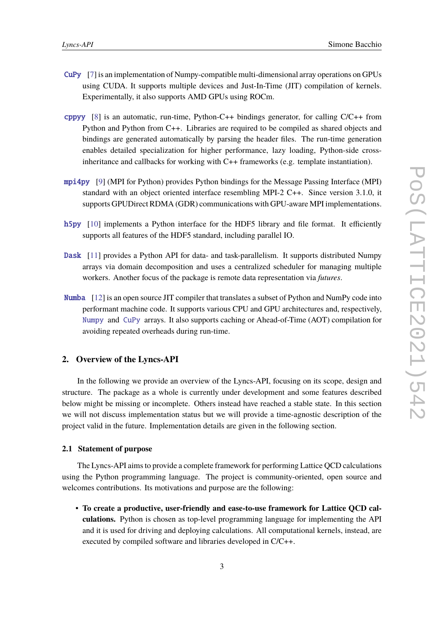- <span id="page-2-0"></span>[CuPy](https://pypi.org/project/CuPy) [\[7\]](#page-9-6) is an implementation of Numpy-compatible multi-dimensional array operations on GPUs using CUDA. It supports multiple devices and Just-In-Time (JIT) compilation of kernels. Experimentally, it also supports AMD GPUs using ROCm.
- <span id="page-2-1"></span>[cppyy](https://pypi.org/project/cppyy) [\[8\]](#page-9-7) is an automatic, run-time, Python-C++ bindings generator, for calling C/C++ from Python and Python from C++. Libraries are required to be compiled as shared objects and bindings are generated automatically by parsing the header files. The run-time generation enables detailed specialization for higher performance, lazy loading, Python-side crossinheritance and callbacks for working with C++ frameworks (e.g. template instantiation).
- <span id="page-2-2"></span>[mpi4py](https://pypi.org/project/mpi4py) [\[9\]](#page-9-8) (MPI for Python) provides Python bindings for the Message Passing Interface (MPI) standard with an object oriented interface resembling MPI-2 C++. Since version 3.1.0, it supports GPUDirect RDMA (GDR) communications with GPU-aware MPI implementations.
- <span id="page-2-4"></span>[h5py](https://pypi.org/project/h5py) [\[10\]](#page-10-0) implements a Python interface for the HDF5 library and file format. It efficiently supports all features of the HDF5 standard, including parallel IO.
- <span id="page-2-3"></span>[Dask](https://pypi.org/project/Dask) [\[11\]](#page-10-1) provides a Python API for data- and task-parallelism. It supports distributed Numpy arrays via domain decomposition and uses a centralized scheduler for managing multiple workers. Another focus of the package is remote data representation via *futures*.
- [Numba](https://pypi.org/project/Numba) [\[12\]](#page-10-2) is an open source JIT compiler that translates a subset of Python and NumPy code into performant machine code. It supports various CPU and GPU architectures and, respectively, [Numpy](#page-1-0) and [CuPy](#page-2-0) arrays. It also supports caching or Ahead-of-Time (AOT) compilation for avoiding repeated overheads during run-time.

### **2. Overview of the Lyncs-API**

In the following we provide an overview of the Lyncs-API, focusing on its scope, design and structure. The package as a whole is currently under development and some features described below might be missing or incomplete. Others instead have reached a stable state. In this section we will not discuss implementation status but we will provide a time-agnostic description of the project valid in the future. Implementation details are given in the following section.

#### **2.1 Statement of purpose**

The Lyncs-API aims to provide a complete framework for performing Lattice QCD calculations using the Python programming language. The project is community-oriented, open source and welcomes contributions. Its motivations and purpose are the following:

• **To create a productive, user-friendly and ease-to-use framework for Lattice QCD calculations.** Python is chosen as top-level programming language for implementing the API and it is used for driving and deploying calculations. All computational kernels, instead, are executed by compiled software and libraries developed in C/C++.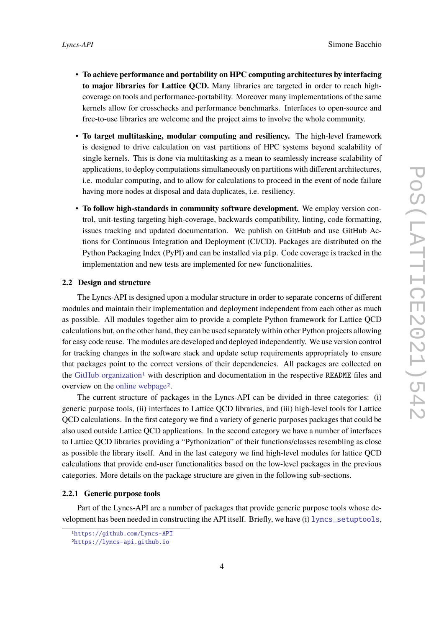- **To achieve performance and portability on HPC computing architectures by interfacing to major libraries for Lattice QCD.** Many libraries are targeted in order to reach highcoverage on tools and performance-portability. Moreover many implementations of the same kernels allow for crosschecks and performance benchmarks. Interfaces to open-source and free-to-use libraries are welcome and the project aims to involve the whole community.
- **To target multitasking, modular computing and resiliency.** The high-level framework is designed to drive calculation on vast partitions of HPC systems beyond scalability of single kernels. This is done via multitasking as a mean to seamlessly increase scalability of applications, to deploy computations simultaneously on partitions with different architectures, i.e. modular computing, and to allow for calculations to proceed in the event of node failure having more nodes at disposal and data duplicates, i.e. resiliency.
- **To follow high-standards in community software development.** We employ version control, unit-testing targeting high-coverage, backwards compatibility, linting, code formatting, issues tracking and updated documentation. We publish on GitHub and use GitHub Actions for Continuous Integration and Deployment (CI/CD). Packages are distributed on the Python Packaging Index (PyPI) and can be installed via pip. Code coverage is tracked in the implementation and new tests are implemented for new functionalities.

#### **2.2 Design and structure**

The Lyncs-API is designed upon a modular structure in order to separate concerns of different modules and maintain their implementation and deployment independent from each other as much as possible. All modules together aim to provide a complete Python framework for Lattice QCD calculations but, on the other hand, they can be used separately within other Python projects allowing for easy code reuse. The modules are developed and deployed independently. We use version control for tracking changes in the software stack and update setup requirements appropriately to ensure that packages point to the correct versions of their dependencies. All packages are collected on the [GitHub organization](https://github.com/Lyncs-API)<sup>[1](#page-3-0)</sup> with description and documentation in the respective README files and overview on the [online webpage](https://lyncs-api.github.io)[2](#page-3-1).

The current structure of packages in the Lyncs-API can be divided in three categories: (i) generic purpose tools, (ii) interfaces to Lattice QCD libraries, and (iii) high-level tools for Lattice QCD calculations. In the first category we find a variety of generic purposes packages that could be also used outside Lattice QCD applications. In the second category we have a number of interfaces to Lattice QCD libraries providing a "Pythonization" of their functions/classes resembling as close as possible the library itself. And in the last category we find high-level modules for lattice QCD calculations that provide end-user functionalities based on the low-level packages in the previous categories. More details on the package structure are given in the following sub-sections.

#### **2.2.1 Generic purpose tools**

Part of the Lyncs-API are a number of packages that provide generic purpose tools whose development has been needed in constructing the API itself. Briefly, we have (i) [lyncs\\_setuptools](https://github.com/Lyncs-API/lyncs.setuptools),

<span id="page-3-0"></span><sup>1</sup><https://github.com/Lyncs-API>

<span id="page-3-1"></span><sup>2</sup><https://lyncs-api.github.io>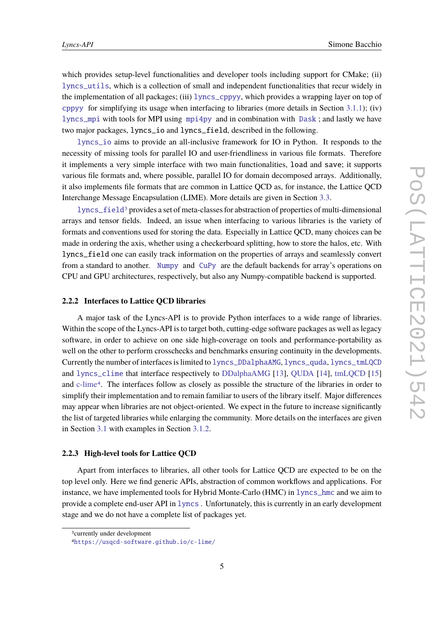which provides setup-level functionalities and developer tools including support for CMake; (ii) [lyncs\\_utils](https://github.com/Lyncs-API/lyncs.utils), which is a collection of small and independent functionalities that recur widely in the implementation of all packages; (iii) [lyncs\\_cppyy](https://github.com/Lyncs-API/lyncs.cppyy), which provides a wrapping layer on top of [cppyy](#page-2-1) for simplifying its usage when interfacing to libraries (more details in Section [3.1.1\)](#page-5-0); (iv) [lyncs\\_mpi](https://github.com/Lyncs-API/lyncs.mpi) with tools for MPI using [mpi4py](#page-2-2) and in combination with [Dask](#page-2-3) ; and lastly we have two major packages, lyncs\_io and lyncs\_field, described in the following.

[lyncs\\_io](https://github.com/Lyncs-API/lyncs.io) aims to provide an all-inclusive framework for IO in Python. It responds to the necessity of missing tools for parallel IO and user-friendliness in various file formats. Therefore it implements a very simple interface with two main functionalities, load and save; it supports various file formats and, where possible, parallel IO for domain decomposed arrays. Additionally, it also implements file formats that are common in Lattice QCD as, for instance, the Lattice QCD Interchange Message Encapsulation (LIME). More details are given in Section [3.3.](#page-8-0)

[lyncs\\_field](https://github.com/Lyncs-API/lyncs.field)[3](#page-4-0) provides a set of meta-classes for abstraction of properties of multi-dimensional arrays and tensor fields. Indeed, an issue when interfacing to various libraries is the variety of formats and conventions used for storing the data. Especially in Lattice QCD, many choices can be made in ordering the axis, whether using a checkerboard splitting, how to store the halos, etc. With lyncs\_field one can easily track information on the properties of arrays and seamlessly convert from a standard to another. [Numpy](#page-1-0) and [CuPy](#page-2-0) are the default backends for array's operations on CPU and GPU architectures, respectively, but also any Numpy-compatible backend is supported.

#### **2.2.2 Interfaces to Lattice QCD libraries**

A major task of the Lyncs-API is to provide Python interfaces to a wide range of libraries. Within the scope of the Lyncs-API is to target both, cutting-edge software packages as well as legacy software, in order to achieve on one side high-coverage on tools and performance-portability as well on the other to perform crosschecks and benchmarks ensuring continuity in the developments. Currently the number of interfaces is limited to [lyncs\\_DDalphaAMG](https://github.com/Lyncs-API/lyncs.DDalphaAMG), [lyncs\\_quda](https://github.com/Lyncs-API/lyncs.quda), [lyncs\\_tmLQCD](https://github.com/Lyncs-API/lyncs.tmLQCD) and [lyncs\\_clime](https://github.com/Lyncs-API/lyncs.clime) that interface respectively to [DDalphaAMG](https://github.com/sbacchio/DDalphaAMG) [\[13\]](#page-10-3), [QUDA](https://github.com/lattice/quda) [\[14\]](#page-10-4), [tmLQCD](https://github.com/etmc/tmLQCD) [\[15\]](#page-10-5) and [c-lime](https://usqcd-software.github.io/c-lime/)[4](#page-4-1). The interfaces follow as closely as possible the structure of the libraries in order to simplify their implementation and to remain familiar to users of the library itself. Major differences may appear when libraries are not object-oriented. We expect in the future to increase significantly the list of targeted libraries while enlarging the community. More details on the interfaces are given in Section [3.1](#page-5-1) with examples in Section [3.1.2.](#page-6-0)

#### **2.2.3 High-level tools for Lattice QCD**

Apart from interfaces to libraries, all other tools for Lattice QCD are expected to be on the top level only. Here we find generic APIs, abstraction of common workflows and applications. For instance, we have implemented tools for Hybrid Monte-Carlo (HMC) in [lyncs\\_hmc](https://github.com/Lyncs-API/lyncs.hmc) and we aim to provide a complete end-user API in [lyncs](https://github.com/Lyncs-API/lyncs) . Unfortunately, this is currently in an early development stage and we do not have a complete list of packages yet.

<span id="page-4-0"></span><sup>3</sup>currently under development

<span id="page-4-1"></span><sup>4</sup><https://usqcd-software.github.io/c-lime/>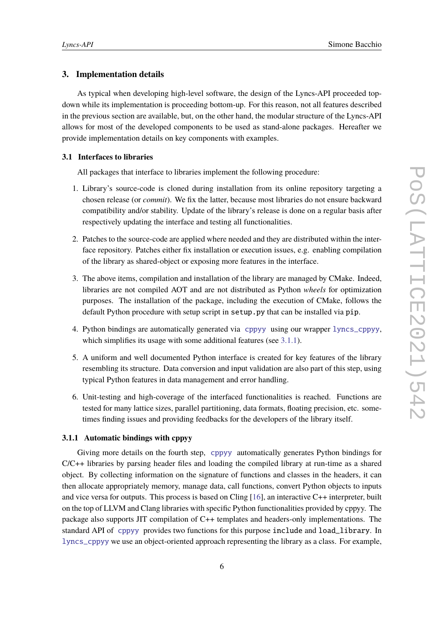#### **3. Implementation details**

As typical when developing high-level software, the design of the Lyncs-API proceeded topdown while its implementation is proceeding bottom-up. For this reason, not all features described in the previous section are available, but, on the other hand, the modular structure of the Lyncs-API allows for most of the developed components to be used as stand-alone packages. Hereafter we provide implementation details on key components with examples.

#### <span id="page-5-1"></span>**3.1 Interfaces to libraries**

All packages that interface to libraries implement the following procedure:

- 1. Library's source-code is cloned during installation from its online repository targeting a chosen release (or *commit*). We fix the latter, because most libraries do not ensure backward compatibility and/or stability. Update of the library's release is done on a regular basis after respectively updating the interface and testing all functionalities.
- 2. Patches to the source-code are applied where needed and they are distributed within the interface repository. Patches either fix installation or execution issues, e.g. enabling compilation of the library as shared-object or exposing more features in the interface.
- 3. The above items, compilation and installation of the library are managed by CMake. Indeed, libraries are not compiled AOT and are not distributed as Python *wheels* for optimization purposes. The installation of the package, including the execution of CMake, follows the default Python procedure with setup script in setup.py that can be installed via pip.
- 4. Python bindings are automatically generated via [cppyy](#page-2-1) using our wrapper [lyncs\\_cppyy](https://github.com/Lyncs-API/lyncs.cppyy), which simplifies its usage with some additional features (see [3.1.1\)](#page-5-0).
- 5. A uniform and well documented Python interface is created for key features of the library resembling its structure. Data conversion and input validation are also part of this step, using typical Python features in data management and error handling.
- 6. Unit-testing and high-coverage of the interfaced functionalities is reached. Functions are tested for many lattice sizes, parallel partitioning, data formats, floating precision, etc. sometimes finding issues and providing feedbacks for the developers of the library itself.

#### <span id="page-5-0"></span>**3.1.1 Automatic bindings with cppyy**

Giving more details on the fourth step, [cppyy](#page-2-1) automatically generates Python bindings for C/C++ libraries by parsing header files and loading the compiled library at run-time as a shared object. By collecting information on the signature of functions and classes in the headers, it can then allocate appropriately memory, manage data, call functions, convert Python objects to inputs and vice versa for outputs. This process is based on Cling [\[16\]](#page-10-6), an interactive C++ interpreter, built on the top of LLVM and Clang libraries with specific Python functionalities provided by cppyy. The package also supports JIT compilation of C++ templates and headers-only implementations. The standard API of [cppyy](#page-2-1) provides two functions for this purpose include and load\_library. In [lyncs\\_cppyy](https://github.com/Lyncs-API/lyncs.cppyy) we use an object-oriented approach representing the library as a class. For example,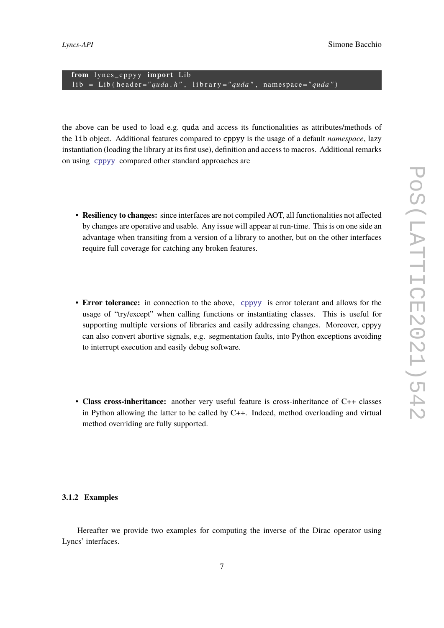from lyncs\_cppyy import Lib lib = Lib(header="quda.h", library="quda", namespace="quda")

the above can be used to load e.g. quda and access its functionalities as attributes/methods of the lib object. Additional features compared to cppyy is the usage of a default *namespace*, lazy instantiation (loading the library at its first use), definition and access to macros. Additional remarks on using [cppyy](#page-2-1) compared other standard approaches are

- **Resiliency to changes:** since interfaces are not compiled AOT, all functionalities not affected by changes are operative and usable. Any issue will appear at run-time. This is on one side an advantage when transiting from a version of a library to another, but on the other interfaces require full coverage for catching any broken features.
- **Error tolerance:** in connection to the above, [cppyy](#page-2-1) is error tolerant and allows for the usage of "try/except" when calling functions or instantiating classes. This is useful for supporting multiple versions of libraries and easily addressing changes. Moreover, cppyy can also convert abortive signals, e.g. segmentation faults, into Python exceptions avoiding to interrupt execution and easily debug software.
- **Class cross-inheritance:** another very useful feature is cross-inheritance of C++ classes in Python allowing the latter to be called by C++. Indeed, method overloading and virtual method overriding are fully supported.

#### <span id="page-6-0"></span>**3.1.2 Examples**

Hereafter we provide two examples for computing the inverse of the Dirac operator using Lyncs' interfaces.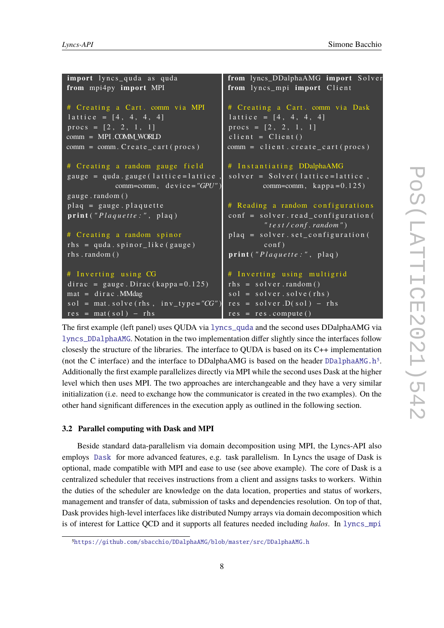```
import lyncs_quda as quda
from mpi4py import MPI
# Creating a Cart. comm via MPI
lattice = [4, 4, 4, 4]procs = [2, 2, 1, 1]comm = MPI .COMM_WORLD
comm = comm. Create\_cart ( process)# Creating a random gauge field
gauge = quda. gauge (lattice=lattice)
            comm=comm, device="GPU")
gauge.random()
plaq = gauge. plaquetteprint ("Plaquette:", plaq)
# Creating a random spinor
rhs = quada \nvert. spinor_like (gauge)
rhs.random()
# Inverting using CG
dirac = gauge. Dirac (kappa=0.125)mat = dirac.MMdagsol = \text{mat} \cdot \text{solv}(r \text{hs} , \text{inv}_t \text{type}) = "CG")res = mat(sol) - rhsfrom lyncs DDalphaAMG import Solver
                                        from lyncs_mpi import Client
                                        # Creating a Cart. comm via Dask
                                         \overline{lattic} e = [4, 4, 4, 4]procs = [2, 2, 1, 1]client = Client()comm = client.created\_cart (process)# Instantiating DDalphaAMG
                                         solver = Solve r (lattice = lattice,comm=comm, \text{kappa} = 0.125# Reading a random configurations
                                         conf = solver.read configuration(" t e s t / c o nf . random " )
                                         plaq = solver.set configuration (\cosh f)
                                         print ("Plaquette:", plaq)
                                        # Inverting using multigrid
                                         rhs = solver.random()sol = solver.solve(rhs)res = solver.D(sol) - rhsres = res.compute()
```
The first example (left panel) uses QUDA via [lyncs\\_quda](https://github.com/Lyncs-API/lyncs.quda) and the second uses DDalphaAMG via [lyncs\\_DDalphaAMG](https://github.com/Lyncs-API/lyncs.DDalphaAMG). Notation in the two implementation differ slightly since the interfaces follow closesly the structure of the libraries. The interface to QUDA is based on its C++ implementation (not the C interface) and the interface to DDalphaAMG is based on the header [DDalphaAMG.h](https://github.com/sbacchio/DDalphaAMG/blob/master/src/DDalphaAMG.h)<sup>[5](#page-7-0)</sup>. Additionally the first example parallelizes directly via MPI while the second uses Dask at the higher level which then uses MPI. The two approaches are interchangeable and they have a very similar initialization (i.e. need to exchange how the communicator is created in the two examples). On the other hand significant differences in the execution apply as outlined in the following section.

#### **3.2 Parallel computing with Dask and MPI**

Beside standard data-parallelism via domain decomposition using MPI, the Lyncs-API also employs [Dask](#page-2-3) for more advanced features, e.g. task parallelism. In Lyncs the usage of Dask is optional, made compatible with MPI and ease to use (see above example). The core of Dask is a centralized scheduler that receives instructions from a client and assigns tasks to workers. Within the duties of the scheduler are knowledge on the data location, properties and status of workers, management and transfer of data, submission of tasks and dependencies resolution. On top of that, Dask provides high-level interfaces like distributed Numpy arrays via domain decomposition which is of interest for Lattice QCD and it supports all features needed including *halos*. In [lyncs\\_mpi](https://github.com/Lyncs-API/lyncs.mpi)

<span id="page-7-0"></span><sup>5</sup><https://github.com/sbacchio/DDalphaAMG/blob/master/src/DDalphaAMG.h>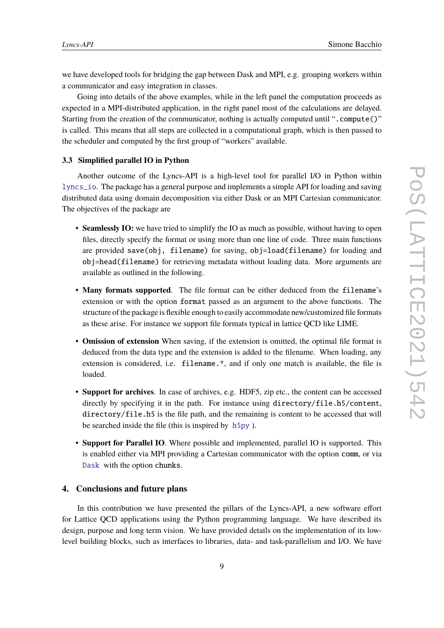we have developed tools for bridging the gap between Dask and MPI, e.g. grouping workers within a communicator and easy integration in classes.

Going into details of the above examples, while in the left panel the computation proceeds as expected in a MPI-distributed application, in the right panel most of the calculations are delayed. Starting from the creation of the communicator, nothing is actually computed until ".compute()" is called. This means that all steps are collected in a computational graph, which is then passed to the scheduler and computed by the first group of "workers" available.

### <span id="page-8-0"></span>**3.3 Simplified parallel IO in Python**

Another outcome of the Lyncs-API is a high-level tool for parallel I/O in Python within [lyncs\\_io](https://github.com/Lyncs-API/lyncs.io). The package has a general purpose and implements a simple API for loading and saving distributed data using domain decomposition via either Dask or an MPI Cartesian communicator. The objectives of the package are

- **Seamlessly IO:** we have tried to simplify the IO as much as possible, without having to open files, directly specify the format or using more than one line of code. Three main functions are provided save(obj, filename) for saving, obj=load(filename) for loading and obj=head(filename) for retrieving metadata without loading data. More arguments are available as outlined in the following.
- **Many formats supported**. The file format can be either deduced from the filename's extension or with the option format passed as an argument to the above functions. The structure of the package is flexible enough to easily accommodate new/customized file formats as these arise. For instance we support file formats typical in lattice QCD like LIME.
- **Omission of extension** When saving, if the extension is omitted, the optimal file format is deduced from the data type and the extension is added to the filename. When loading, any extension is considered, i.e. filename.\*, and if only one match is available, the file is loaded.
- **Support for archives**. In case of archives, e.g. HDF5, zip etc., the content can be accessed directly by specifying it in the path. For instance using directory/file.h5/content, directory/file.h5 is the file path, and the remaining is content to be accessed that will be searched inside the file (this is inspired by [h5py](#page-2-4) ).
- **Support for Parallel IO**. Where possible and implemented, parallel IO is supported. This is enabled either via MPI providing a Cartesian communicator with the option comm, or via [Dask](#page-2-3) with the option chunks.

### **4. Conclusions and future plans**

In this contribution we have presented the pillars of the Lyncs-API, a new software effort for Lattice QCD applications using the Python programming language. We have described its design, purpose and long term vision. We have provided details on the implementation of its lowlevel building blocks, such as interfaces to libraries, data- and task-parallelism and I/O. We have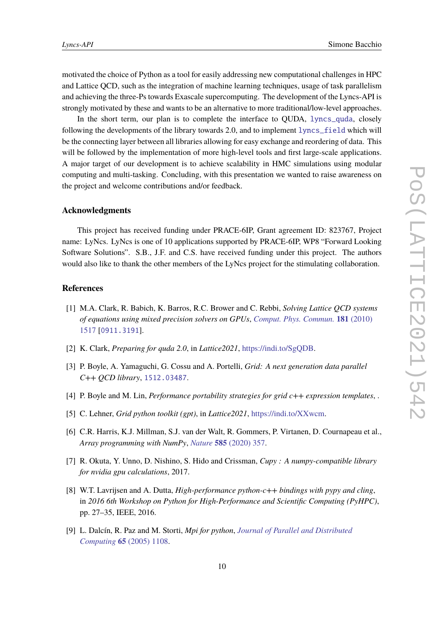motivated the choice of Python as a tool for easily addressing new computational challenges in HPC and Lattice QCD, such as the integration of machine learning techniques, usage of task parallelism and achieving the three-Ps towards Exascale supercomputing. The development of the Lyncs-API is strongly motivated by these and wants to be an alternative to more traditional/low-level approaches.

In the short term, our plan is to complete the interface to QUDA, [lyncs\\_quda](https://github.com/Lyncs-API/lyncs.quda), closely following the developments of the library towards 2.0, and to implement [lyncs\\_field](https://github.com/Lyncs-API/lyncs.field) which will be the connecting layer between all libraries allowing for easy exchange and reordering of data. This will be followed by the implementation of more high-level tools and first large-scale applications. A major target of our development is to achieve scalability in HMC simulations using modular computing and multi-tasking. Concluding, with this presentation we wanted to raise awareness on the project and welcome contributions and/or feedback.

#### **Acknowledgments**

This project has received funding under PRACE-6IP, Grant agreement ID: 823767, Project name: LyNcs. LyNcs is one of 10 applications supported by PRACE-6IP, WP8 "Forward Looking Software Solutions". S.B., J.F. and C.S. have received funding under this project. The authors would also like to thank the other members of the LyNcs project for the stimulating collaboration.

#### **References**

- <span id="page-9-0"></span>[1] M.A. Clark, R. Babich, K. Barros, R.C. Brower and C. Rebbi, *Solving Lattice QCD systems of equations using mixed precision solvers on GPUs*, *[Comput. Phys. Commun.](https://doi.org/10.1016/j.cpc.2010.05.002)* **181** (2010) [1517](https://doi.org/10.1016/j.cpc.2010.05.002) [[0911.3191](https://arxiv.org/abs/0911.3191)].
- <span id="page-9-1"></span>[2] K. Clark, *Preparing for quda 2.0*, in *Lattice2021*, [https://indi.to/SgQDB.](https://indi.to/SgQDB)
- <span id="page-9-2"></span>[3] P. Boyle, A. Yamaguchi, G. Cossu and A. Portelli, *Grid: A next generation data parallel C++ QCD library*, [1512.03487](https://arxiv.org/abs/1512.03487).
- <span id="page-9-3"></span>[4] P. Boyle and M. Lin, *Performance portability strategies for grid c++ expression templates*, .
- <span id="page-9-4"></span>[5] C. Lehner, *Grid python toolkit (gpt)*, in *Lattice2021*, [https://indi.to/XXwcm.](https://indi.to/XXwcm)
- <span id="page-9-5"></span>[6] C.R. Harris, K.J. Millman, S.J. van der Walt, R. Gommers, P. Virtanen, D. Cournapeau et al., *Array programming with NumPy*, *Nature* **585** [\(2020\) 357.](https://doi.org/10.1038/s41586-020-2649-2)
- <span id="page-9-6"></span>[7] R. Okuta, Y. Unno, D. Nishino, S. Hido and Crissman, *Cupy : A numpy-compatible library for nvidia gpu calculations*, 2017.
- <span id="page-9-7"></span>[8] W.T. Lavrijsen and A. Dutta, *High-performance python-c++ bindings with pypy and cling*, in *2016 6th Workshop on Python for High-Performance and Scientific Computing (PyHPC)*, pp. 27–35, IEEE, 2016.
- <span id="page-9-8"></span>[9] L. Dalcín, R. Paz and M. Storti, *Mpi for python*, *[Journal of Parallel and Distributed](https://doi.org/https://doi.org/10.1016/j.jpdc.2005.03.010) Computing* **65** [\(2005\) 1108.](https://doi.org/https://doi.org/10.1016/j.jpdc.2005.03.010)